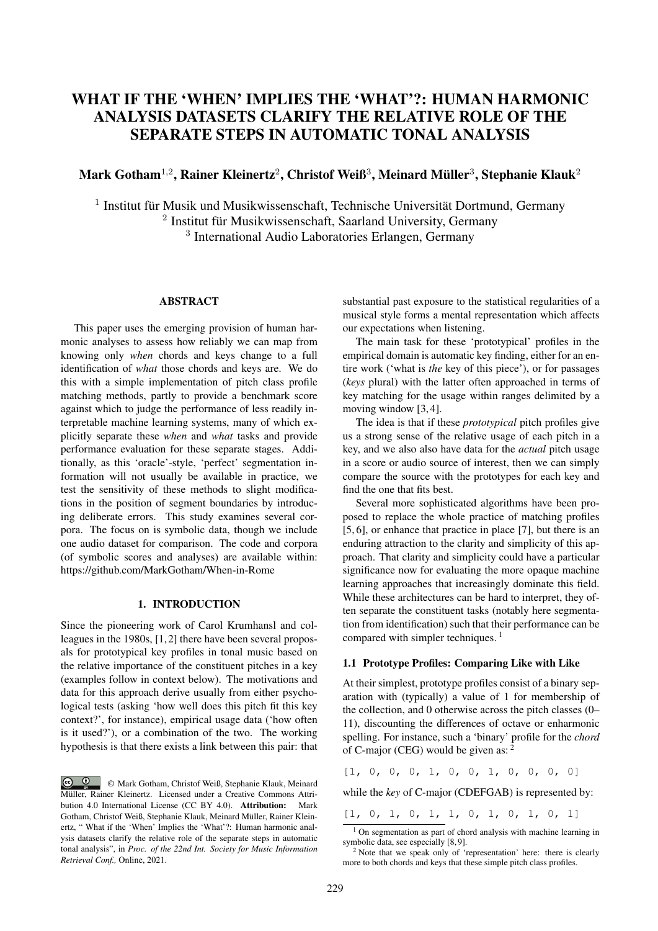# WHAT IF THE 'WHEN' IMPLIES THE 'WHAT'?: HUMAN HARMONIC ANALYSIS DATASETS CLARIFY THE RELATIVE ROLE OF THE SEPARATE STEPS IN AUTOMATIC TONAL ANALYSIS

## Mark Gotham $^{1,2}$ , Rainer Kleinertz $^2$ , Christof Weiß $^3$ , Meinard Müller $^3$ , Stephanie Klauk $^2$

<sup>1</sup> Institut für Musik und Musikwissenschaft, Technische Universität Dortmund, Germany 2 Institut für Musikwissenschaft, Saarland University, Germany 3 International Audio Laboratories Erlangen, Germany

## ABSTRACT

This paper uses the emerging provision of human harmonic analyses to assess how reliably we can map from knowing only *when* chords and keys change to a full identification of *what* those chords and keys are. We do this with a simple implementation of pitch class profile matching methods, partly to provide a benchmark score against which to judge the performance of less readily interpretable machine learning systems, many of which explicitly separate these *when* and *what* tasks and provide performance evaluation for these separate stages. Additionally, as this 'oracle'-style, 'perfect' segmentation information will not usually be available in practice, we test the sensitivity of these methods to slight modifications in the position of segment boundaries by introducing deliberate errors. This study examines several corpora. The focus on is symbolic data, though we include one audio dataset for comparison. The code and corpora (of symbolic scores and analyses) are available within: https://github.com/MarkGotham/When-in-Rome

## 1. INTRODUCTION

Since the pioneering work of Carol Krumhansl and colleagues in the 1980s, [1, 2] there have been several proposals for prototypical key profiles in tonal music based on the relative importance of the constituent pitches in a key (examples follow in context below). The motivations and data for this approach derive usually from either psychological tests (asking 'how well does this pitch fit this key context?', for instance), empirical usage data ('how often is it used?'), or a combination of the two. The working hypothesis is that there exists a link between this pair: that substantial past exposure to the statistical regularities of a musical style forms a mental representation which affects our expectations when listening.

The main task for these 'prototypical' profiles in the empirical domain is automatic key finding, either for an entire work ('what is *the* key of this piece'), or for passages (*keys* plural) with the latter often approached in terms of key matching for the usage within ranges delimited by a moving window [3, 4].

The idea is that if these *prototypical* pitch profiles give us a strong sense of the relative usage of each pitch in a key, and we also also have data for the *actual* pitch usage in a score or audio source of interest, then we can simply compare the source with the prototypes for each key and find the one that fits best.

Several more sophisticated algorithms have been proposed to replace the whole practice of matching profiles [5, 6], or enhance that practice in place [7], but there is an enduring attraction to the clarity and simplicity of this approach. That clarity and simplicity could have a particular significance now for evaluating the more opaque machine learning approaches that increasingly dominate this field. While these architectures can be hard to interpret, they often separate the constituent tasks (notably here segmentation from identification) such that their performance can be compared with simpler techniques.<sup>1</sup>

## 1.1 Prototype Profiles: Comparing Like with Like

At their simplest, prototype profiles consist of a binary separation with (typically) a value of 1 for membership of the collection, and 0 otherwise across the pitch classes (0– 11), discounting the differences of octave or enharmonic spelling. For instance, such a 'binary' profile for the *chord* of C-major (CEG) would be given as: <sup>2</sup>

 $[1, 0, 0, 0, 1, 0, 0, 1, 0, 0, 0, 0]$ 

while the *key* of C-major (CDEFGAB) is represented by:

[1, 0, 1, 0, 1, 1, 0, 1, 0, 1, 0, 1]

<sup>©</sup> Mark Gotham, Christof Weiß, Stephanie Klauk, Meinard Müller, Rainer Kleinertz. Licensed under a Creative Commons Attribution 4.0 International License (CC BY 4.0). Attribution: Mark Gotham, Christof Weiß, Stephanie Klauk, Meinard Müller, Rainer Kleinertz, " What if the 'When' Implies the 'What'?: Human harmonic analysis datasets clarify the relative role of the separate steps in automatic tonal analysis", in *Proc. of the 22nd Int. Society for Music Information Retrieval Conf.,* Online, 2021.

 $1$  On segmentation as part of chord analysis with machine learning in symbolic data, see especially [8, 9].

 $2$  Note that we speak only of 'representation' here: there is clearly more to both chords and keys that these simple pitch class profiles.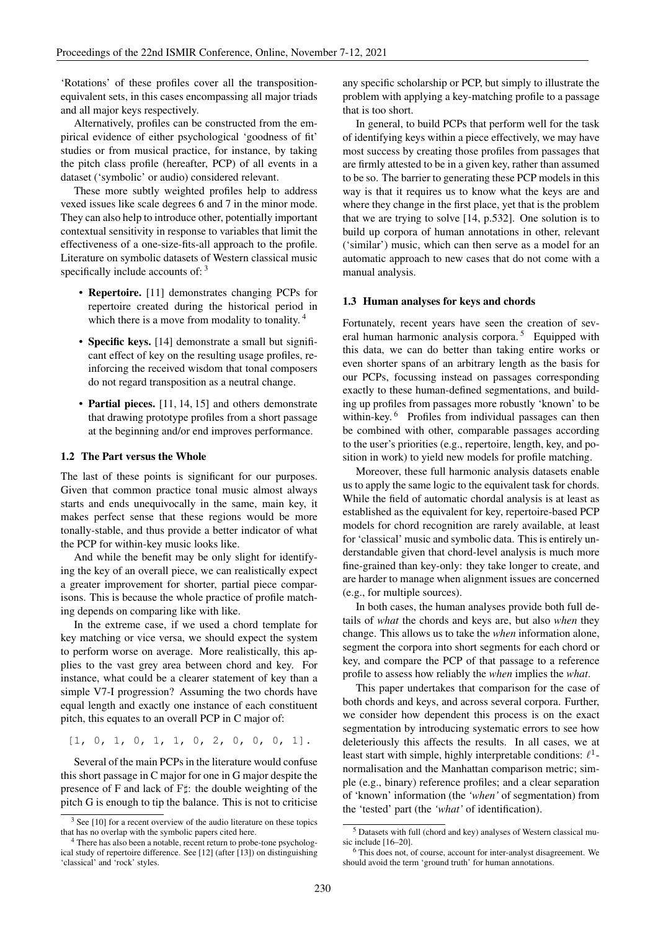'Rotations' of these profiles cover all the transpositionequivalent sets, in this cases encompassing all major triads and all major keys respectively.

Alternatively, profiles can be constructed from the empirical evidence of either psychological 'goodness of fit' studies or from musical practice, for instance, by taking the pitch class profile (hereafter, PCP) of all events in a dataset ('symbolic' or audio) considered relevant.

These more subtly weighted profiles help to address vexed issues like scale degrees 6 and 7 in the minor mode. They can also help to introduce other, potentially important contextual sensitivity in response to variables that limit the effectiveness of a one-size-fits-all approach to the profile. Literature on symbolic datasets of Western classical music specifically include accounts of: 3

- **Repertoire.** [11] demonstrates changing PCPs for repertoire created during the historical period in which there is a move from modality to tonality.<sup>4</sup>
- Specific keys. [14] demonstrate a small but significant effect of key on the resulting usage profiles, reinforcing the received wisdom that tonal composers do not regard transposition as a neutral change.
- Partial pieces. [11, 14, 15] and others demonstrate that drawing prototype profiles from a short passage at the beginning and/or end improves performance.

## 1.2 The Part versus the Whole

The last of these points is significant for our purposes. Given that common practice tonal music almost always starts and ends unequivocally in the same, main key, it makes perfect sense that these regions would be more tonally-stable, and thus provide a better indicator of what the PCP for within-key music looks like.

And while the benefit may be only slight for identifying the key of an overall piece, we can realistically expect a greater improvement for shorter, partial piece comparisons. This is because the whole practice of profile matching depends on comparing like with like.

In the extreme case, if we used a chord template for key matching or vice versa, we should expect the system to perform worse on average. More realistically, this applies to the vast grey area between chord and key. For instance, what could be a clearer statement of key than a simple V7-I progression? Assuming the two chords have equal length and exactly one instance of each constituent pitch, this equates to an overall PCP in C major of:

[1, 0, 1, 0, 1, 1, 0, 2, 0, 0, 0, 1].

Several of the main PCPs in the literature would confuse this short passage in C major for one in G major despite the presence of F and lack of  $F\sharp$ : the double weighting of the pitch G is enough to tip the balance. This is not to criticise any specific scholarship or PCP, but simply to illustrate the problem with applying a key-matching profile to a passage that is too short.

In general, to build PCPs that perform well for the task of identifying keys within a piece effectively, we may have most success by creating those profiles from passages that are firmly attested to be in a given key, rather than assumed to be so. The barrier to generating these PCP models in this way is that it requires us to know what the keys are and where they change in the first place, yet that is the problem that we are trying to solve [14, p.532]. One solution is to build up corpora of human annotations in other, relevant ('similar') music, which can then serve as a model for an automatic approach to new cases that do not come with a manual analysis.

#### 1.3 Human analyses for keys and chords

Fortunately, recent years have seen the creation of several human harmonic analysis corpora.<sup>5</sup> Equipped with this data, we can do better than taking entire works or even shorter spans of an arbitrary length as the basis for our PCPs, focussing instead on passages corresponding exactly to these human-defined segmentations, and building up profiles from passages more robustly 'known' to be within-key.<sup>6</sup> Profiles from individual passages can then be combined with other, comparable passages according to the user's priorities (e.g., repertoire, length, key, and position in work) to yield new models for profile matching.

Moreover, these full harmonic analysis datasets enable us to apply the same logic to the equivalent task for chords. While the field of automatic chordal analysis is at least as established as the equivalent for key, repertoire-based PCP models for chord recognition are rarely available, at least for 'classical' music and symbolic data. This is entirely understandable given that chord-level analysis is much more fine-grained than key-only: they take longer to create, and are harder to manage when alignment issues are concerned (e.g., for multiple sources).

In both cases, the human analyses provide both full details of *what* the chords and keys are, but also *when* they change. This allows us to take the *when* information alone, segment the corpora into short segments for each chord or key, and compare the PCP of that passage to a reference profile to assess how reliably the *when* implies the *what*.

This paper undertakes that comparison for the case of both chords and keys, and across several corpora. Further, we consider how dependent this process is on the exact segmentation by introducing systematic errors to see how deleteriously this affects the results. In all cases, we at least start with simple, highly interpretable conditions:  $\ell^1$ normalisation and the Manhattan comparison metric; simple (e.g., binary) reference profiles; and a clear separation of 'known' information (the *'when'* of segmentation) from the 'tested' part (the *'what'* of identification).

<sup>&</sup>lt;sup>3</sup> See [10] for a recent overview of the audio literature on these topics that has no overlap with the symbolic papers cited here.

<sup>4</sup> There has also been a notable, recent return to probe-tone psychological study of repertoire difference. See [12] (after [13]) on distinguishing 'classical' and 'rock' styles.

<sup>5</sup> Datasets with full (chord and key) analyses of Western classical music include [16–20].

<sup>6</sup> This does not, of course, account for inter-analyst disagreement. We should avoid the term 'ground truth' for human annotations.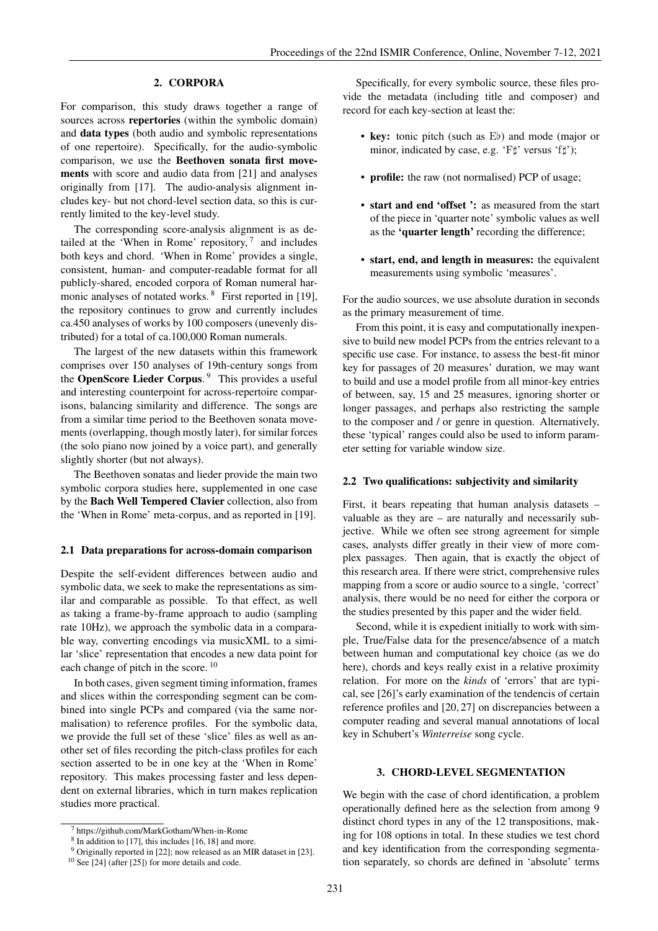## 2. CORPORA

For comparison, this study draws together a range of sources across **repertories** (within the symbolic domain) and data types (both audio and symbolic representations of one repertoire). Specifically, for the audio-symbolic comparison, we use the Beethoven sonata first movements with score and audio data from [21] and analyses originally from [17]. The audio-analysis alignment includes key- but not chord-level section data, so this is currently limited to the key-level study.

The corresponding score-analysis alignment is as detailed at the 'When in Rome' repository,  $7$  and includes both keys and chord. 'When in Rome' provides a single, consistent, human- and computer-readable format for all publicly-shared, encoded corpora of Roman numeral harmonic analyses of notated works. <sup>8</sup> First reported in [19], the repository continues to grow and currently includes ca.450 analyses of works by 100 composers (unevenly distributed) for a total of ca.100,000 Roman numerals.

The largest of the new datasets within this framework comprises over 150 analyses of 19th-century songs from the OpenScore Lieder Corpus.<sup>9</sup> This provides a useful and interesting counterpoint for across-repertoire comparisons, balancing similarity and difference. The songs are from a similar time period to the Beethoven sonata movements (overlapping, though mostly later), for similar forces (the solo piano now joined by a voice part), and generally slightly shorter (but not always).

The Beethoven sonatas and lieder provide the main two symbolic corpora studies here, supplemented in one case by the Bach Well Tempered Clavier collection, also from the 'When in Rome' meta-corpus, and as reported in [19].

## 2.1 Data preparations for across-domain comparison

Despite the self-evident differences between audio and symbolic data, we seek to make the representations as similar and comparable as possible. To that effect, as well as taking a frame-by-frame approach to audio (sampling rate 10Hz), we approach the symbolic data in a comparable way, converting encodings via musicXML to a similar 'slice' representation that encodes a new data point for each change of pitch in the score.<sup>10</sup>

In both cases, given segment timing information, frames and slices within the corresponding segment can be combined into single PCPs and compared (via the same normalisation) to reference profiles. For the symbolic data, we provide the full set of these 'slice' files as well as another set of files recording the pitch-class profiles for each section asserted to be in one key at the 'When in Rome' repository. This makes processing faster and less dependent on external libraries, which in turn makes replication studies more practical.

Specifically, for every symbolic source, these files provide the metadata (including title and composer) and record for each key-section at least the:

- key: tonic pitch (such as Eb) and mode (major or minor, indicated by case, e.g. ' $F\sharp$ ' versus ' $f\sharp$ ');
- **profile:** the raw (not normalised) PCP of usage;
- start and end 'offset ': as measured from the start of the piece in 'quarter note' symbolic values as well as the 'quarter length' recording the difference;
- start, end, and length in measures: the equivalent measurements using symbolic 'measures'.

For the audio sources, we use absolute duration in seconds as the primary measurement of time.

From this point, it is easy and computationally inexpensive to build new model PCPs from the entries relevant to a specific use case. For instance, to assess the best-fit minor key for passages of 20 measures' duration, we may want to build and use a model profile from all minor-key entries of between, say, 15 and 25 measures, ignoring shorter or longer passages, and perhaps also restricting the sample to the composer and / or genre in question. Alternatively, these 'typical' ranges could also be used to inform parameter setting for variable window size.

#### 2.2 Two qualifications: subjectivity and similarity

First, it bears repeating that human analysis datasets – valuable as they are – are naturally and necessarily subjective. While we often see strong agreement for simple cases, analysts differ greatly in their view of more complex passages. Then again, that is exactly the object of this research area. If there were strict, comprehensive rules mapping from a score or audio source to a single, 'correct' analysis, there would be no need for either the corpora or the studies presented by this paper and the wider field.

Second, while it is expedient initially to work with simple, True/False data for the presence/absence of a match between human and computational key choice (as we do here), chords and keys really exist in a relative proximity relation. For more on the *kinds* of 'errors' that are typical, see [26]'s early examination of the tendencis of certain reference profiles and [20, 27] on discrepancies between a computer reading and several manual annotations of local key in Schubert's *Winterreise* song cycle.

#### 3. CHORD-LEVEL SEGMENTATION

We begin with the case of chord identification, a problem operationally defined here as the selection from among 9 distinct chord types in any of the 12 transpositions, making for 108 options in total. In these studies we test chord and key identification from the corresponding segmentation separately, so chords are defined in 'absolute' terms

<sup>7</sup> https://github.com/MarkGotham/When-in-Rome

 $8$  In addition to [17], this includes [16, 18] and more.

<sup>9</sup> Originally reported in [22]; now released as an MIR dataset in [23].

 $10$  See [24] (after [25]) for more details and code.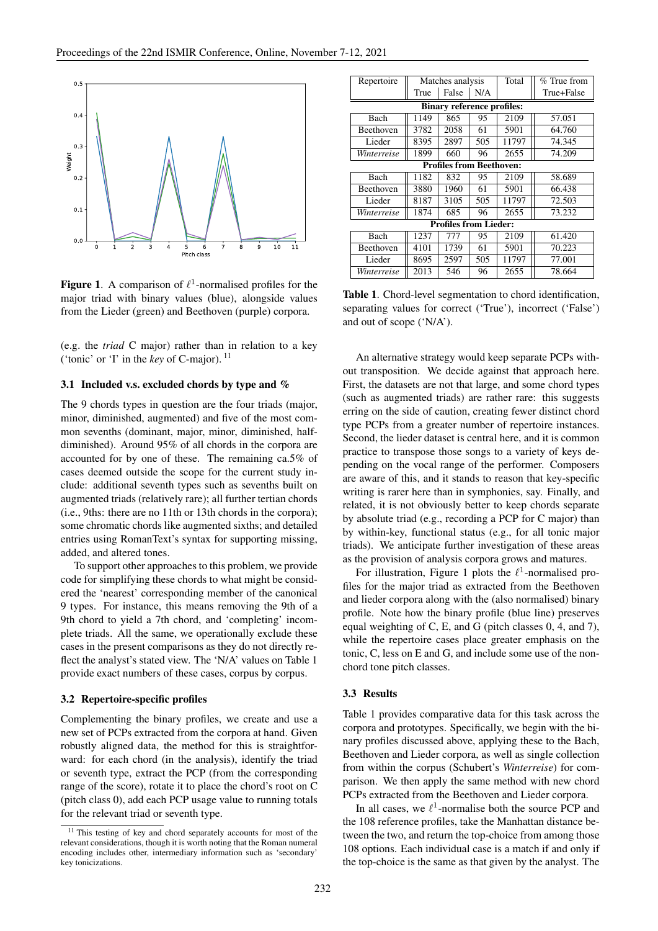

Figure 1. A comparison of  $\ell^1$ -normalised profiles for the major triad with binary values (blue), alongside values from the Lieder (green) and Beethoven (purple) corpora.

(e.g. the *triad* C major) rather than in relation to a key ('tonic' or 'I' in the *key* of C-major). <sup>11</sup>

#### 3.1 Included v.s. excluded chords by type and %

The 9 chords types in question are the four triads (major, minor, diminished, augmented) and five of the most common sevenths (dominant, major, minor, diminished, halfdiminished). Around 95% of all chords in the corpora are accounted for by one of these. The remaining ca.5% of cases deemed outside the scope for the current study include: additional seventh types such as sevenths built on augmented triads (relatively rare); all further tertian chords (i.e., 9ths: there are no 11th or 13th chords in the corpora); some chromatic chords like augmented sixths; and detailed entries using RomanText's syntax for supporting missing, added, and altered tones.

To support other approaches to this problem, we provide code for simplifying these chords to what might be considered the 'nearest' corresponding member of the canonical 9 types. For instance, this means removing the 9th of a 9th chord to yield a 7th chord, and 'completing' incomplete triads. All the same, we operationally exclude these cases in the present comparisons as they do not directly reflect the analyst's stated view. The 'N/A' values on Table 1 provide exact numbers of these cases, corpus by corpus.

### 3.2 Repertoire-specific profiles

Complementing the binary profiles, we create and use a new set of PCPs extracted from the corpora at hand. Given robustly aligned data, the method for this is straightforward: for each chord (in the analysis), identify the triad or seventh type, extract the PCP (from the corresponding range of the score), rotate it to place the chord's root on C (pitch class 0), add each PCP usage value to running totals for the relevant triad or seventh type.

| Repertoire                        | Matches analysis |       | Total | $%$ True from |            |  |  |  |
|-----------------------------------|------------------|-------|-------|---------------|------------|--|--|--|
|                                   | True             | False | N/A   |               | True+False |  |  |  |
| <b>Binary reference profiles:</b> |                  |       |       |               |            |  |  |  |
| Bach                              | 1149             | 865   | 95    | 2109          | 57.051     |  |  |  |
| Beethoven                         | 3782             | 2058  | 61    | 5901          | 64.760     |  |  |  |
| Lieder                            | 8395             | 2897  | 505   | 11797         | 74.345     |  |  |  |
| Winterreise                       | 1899             | 660   | 96    | 2655          | 74.209     |  |  |  |
| <b>Profiles from Beethoven:</b>   |                  |       |       |               |            |  |  |  |
| Bach                              | 1182             | 832   | 95    | 2109          | 58.689     |  |  |  |
| Beethoven                         | 3880             | 1960  | 61    | 5901          | 66.438     |  |  |  |
| Lieder                            | 8187             | 3105  | 505   | 11797         | 72.503     |  |  |  |
| Winterreise                       | 1874             | 685   | 96    | 2655          | 73.232     |  |  |  |
| <b>Profiles from Lieder:</b>      |                  |       |       |               |            |  |  |  |
| Bach                              | 1237             | 777   | 95    | 2109          | 61.420     |  |  |  |
| <b>Beethoven</b>                  | 4101             | 1739  | 61    | 5901          | 70.223     |  |  |  |
| Lieder                            | 8695             | 2597  | 505   | 11797         | 77.001     |  |  |  |
| Winterreise                       | 2013             | 546   | 96    | 2655          | 78.664     |  |  |  |

Table 1. Chord-level segmentation to chord identification, separating values for correct ('True'), incorrect ('False') and out of scope ('N/A').

An alternative strategy would keep separate PCPs without transposition. We decide against that approach here. First, the datasets are not that large, and some chord types (such as augmented triads) are rather rare: this suggests erring on the side of caution, creating fewer distinct chord type PCPs from a greater number of repertoire instances. Second, the lieder dataset is central here, and it is common practice to transpose those songs to a variety of keys depending on the vocal range of the performer. Composers are aware of this, and it stands to reason that key-specific writing is rarer here than in symphonies, say. Finally, and related, it is not obviously better to keep chords separate by absolute triad (e.g., recording a PCP for C major) than by within-key, functional status (e.g., for all tonic major triads). We anticipate further investigation of these areas as the provision of analysis corpora grows and matures.

For illustration, Figure 1 plots the  $\ell^1$ -normalised profiles for the major triad as extracted from the Beethoven and lieder corpora along with the (also normalised) binary profile. Note how the binary profile (blue line) preserves equal weighting of C, E, and G (pitch classes 0, 4, and 7), while the repertoire cases place greater emphasis on the tonic, C, less on E and G, and include some use of the nonchord tone pitch classes.

## 3.3 Results

Table 1 provides comparative data for this task across the corpora and prototypes. Specifically, we begin with the binary profiles discussed above, applying these to the Bach, Beethoven and Lieder corpora, as well as single collection from within the corpus (Schubert's *Winterreise*) for comparison. We then apply the same method with new chord PCPs extracted from the Beethoven and Lieder corpora.

In all cases, we  $\ell^1$ -normalise both the source PCP and the 108 reference profiles, take the Manhattan distance between the two, and return the top-choice from among those 108 options. Each individual case is a match if and only if the top-choice is the same as that given by the analyst. The

<sup>&</sup>lt;sup>11</sup> This testing of key and chord separately accounts for most of the relevant considerations, though it is worth noting that the Roman numeral encoding includes other, intermediary information such as 'secondary' key tonicizations.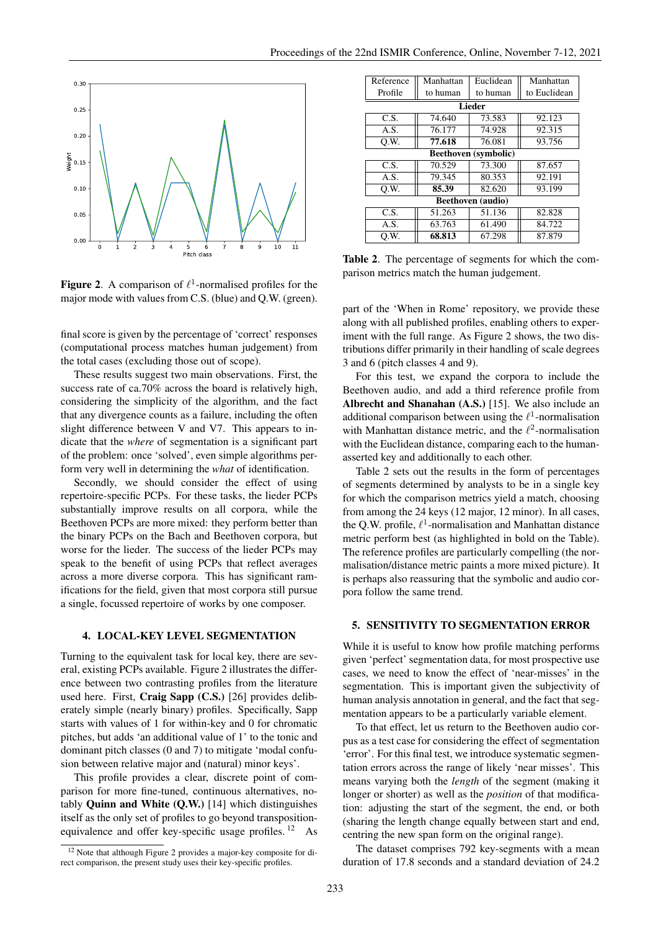

Figure 2. A comparison of  $\ell^1$ -normalised profiles for the major mode with values from C.S. (blue) and Q.W. (green).

final score is given by the percentage of 'correct' responses (computational process matches human judgement) from the total cases (excluding those out of scope).

These results suggest two main observations. First, the success rate of ca.70% across the board is relatively high, considering the simplicity of the algorithm, and the fact that any divergence counts as a failure, including the often slight difference between V and V7. This appears to indicate that the *where* of segmentation is a significant part of the problem: once 'solved', even simple algorithms perform very well in determining the *what* of identification.

Secondly, we should consider the effect of using repertoire-specific PCPs. For these tasks, the lieder PCPs substantially improve results on all corpora, while the Beethoven PCPs are more mixed: they perform better than the binary PCPs on the Bach and Beethoven corpora, but worse for the lieder. The success of the lieder PCPs may speak to the benefit of using PCPs that reflect averages across a more diverse corpora. This has significant ramifications for the field, given that most corpora still pursue a single, focussed repertoire of works by one composer.

#### 4. LOCAL-KEY LEVEL SEGMENTATION

Turning to the equivalent task for local key, there are several, existing PCPs available. Figure 2 illustrates the difference between two contrasting profiles from the literature used here. First, Craig Sapp (C.S.) [26] provides deliberately simple (nearly binary) profiles. Specifically, Sapp starts with values of 1 for within-key and 0 for chromatic pitches, but adds 'an additional value of 1' to the tonic and dominant pitch classes (0 and 7) to mitigate 'modal confusion between relative major and (natural) minor keys'.

This profile provides a clear, discrete point of comparison for more fine-tuned, continuous alternatives, notably Quinn and White (Q.W.) [14] which distinguishes itself as the only set of profiles to go beyond transpositionequivalence and offer key-specific usage profiles. <sup>12</sup> As

| Reference                   | Manhattan | Euclidean | Manhattan    |  |  |  |  |  |
|-----------------------------|-----------|-----------|--------------|--|--|--|--|--|
| Profile                     | to human  | to human  | to Euclidean |  |  |  |  |  |
| Lieder                      |           |           |              |  |  |  |  |  |
| C.S.                        | 74.640    | 73.583    | 92.123       |  |  |  |  |  |
| A.S.                        | 76.177    | 74.928    | 92.315       |  |  |  |  |  |
| O.W.                        | 77.618    | 76.081    | 93.756       |  |  |  |  |  |
| <b>Beethoven</b> (symbolic) |           |           |              |  |  |  |  |  |
| C.S.                        | 70.529    | 73.300    | 87.657       |  |  |  |  |  |
| A.S.                        | 79.345    | 80.353    | 92.191       |  |  |  |  |  |
| O.W.                        | 85.39     | 82.620    | 93.199       |  |  |  |  |  |
| <b>Beethoven</b> (audio)    |           |           |              |  |  |  |  |  |
| C.S.                        | 51.263    | 51.136    | 82.828       |  |  |  |  |  |
| A.S.                        | 63.763    | 61.490    | 84.722       |  |  |  |  |  |
| O.W.                        | 68.813    | 67.298    | 87.879       |  |  |  |  |  |

Table 2. The percentage of segments for which the comparison metrics match the human judgement.

part of the 'When in Rome' repository, we provide these along with all published profiles, enabling others to experiment with the full range. As Figure 2 shows, the two distributions differ primarily in their handling of scale degrees 3 and 6 (pitch classes 4 and 9).

For this test, we expand the corpora to include the Beethoven audio, and add a third reference profile from Albrecht and Shanahan (A.S.) [15]. We also include an additional comparison between using the  $\ell^1$ -normalisation with Manhattan distance metric, and the  $\ell^2$ -normalisation with the Euclidean distance, comparing each to the humanasserted key and additionally to each other.

Table 2 sets out the results in the form of percentages of segments determined by analysts to be in a single key for which the comparison metrics yield a match, choosing from among the 24 keys (12 major, 12 minor). In all cases, the Q.W. profile,  $\ell^1$ -normalisation and Manhattan distance metric perform best (as highlighted in bold on the Table). The reference profiles are particularly compelling (the normalisation/distance metric paints a more mixed picture). It is perhaps also reassuring that the symbolic and audio corpora follow the same trend.

## 5. SENSITIVITY TO SEGMENTATION ERROR

While it is useful to know how profile matching performs given 'perfect' segmentation data, for most prospective use cases, we need to know the effect of 'near-misses' in the segmentation. This is important given the subjectivity of human analysis annotation in general, and the fact that segmentation appears to be a particularly variable element.

To that effect, let us return to the Beethoven audio corpus as a test case for considering the effect of segmentation 'error'. For this final test, we introduce systematic segmentation errors across the range of likely 'near misses'. This means varying both the *length* of the segment (making it longer or shorter) as well as the *position* of that modification: adjusting the start of the segment, the end, or both (sharing the length change equally between start and end, centring the new span form on the original range).

The dataset comprises 792 key-segments with a mean duration of 17.8 seconds and a standard deviation of 24.2

<sup>12</sup> Note that although Figure 2 provides a major-key composite for direct comparison, the present study uses their key-specific profiles.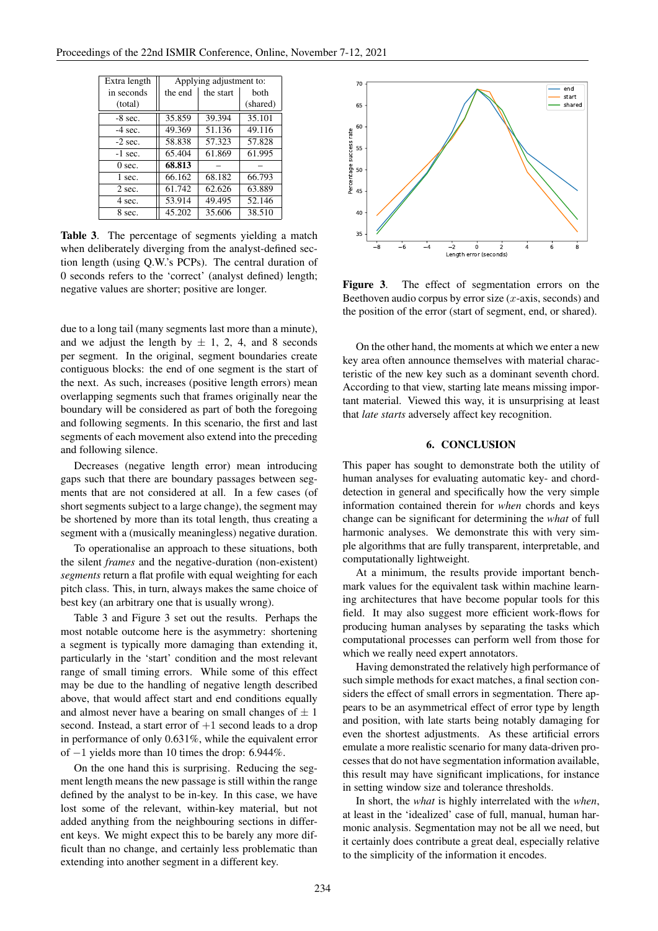| Extra length | Applying adjustment to: |           |          |  |  |
|--------------|-------------------------|-----------|----------|--|--|
| in seconds   | the end                 | the start | both     |  |  |
| (total)      |                         |           | (shared) |  |  |
| $-8$ sec.    | 35.859                  | 39.394    | 35.101   |  |  |
| $-4$ sec.    | 49.369                  | 51.136    | 49.116   |  |  |
| $-2$ sec.    | 58.838                  | 57.323    | 57.828   |  |  |
| $-1$ sec.    | 65.404                  | 61.869    | 61.995   |  |  |
| $0$ sec.     | 68.813                  |           |          |  |  |
| 1 sec.       | 66.162                  | 68.182    | 66.793   |  |  |
| 2 sec.       | 61.742                  | 62.626    | 63.889   |  |  |
| 4 sec.       | 53.914                  | 49.495    | 52.146   |  |  |
| 8 sec.       | 45.202                  | 35.606    | 38.510   |  |  |

Table 3. The percentage of segments yielding a match when deliberately diverging from the analyst-defined section length (using Q.W.'s PCPs). The central duration of 0 seconds refers to the 'correct' (analyst defined) length; negative values are shorter; positive are longer.

due to a long tail (many segments last more than a minute), and we adjust the length by  $\pm$  1, 2, 4, and 8 seconds per segment. In the original, segment boundaries create contiguous blocks: the end of one segment is the start of the next. As such, increases (positive length errors) mean overlapping segments such that frames originally near the boundary will be considered as part of both the foregoing and following segments. In this scenario, the first and last segments of each movement also extend into the preceding and following silence.

Decreases (negative length error) mean introducing gaps such that there are boundary passages between segments that are not considered at all. In a few cases (of short segments subject to a large change), the segment may be shortened by more than its total length, thus creating a segment with a (musically meaningless) negative duration.

To operationalise an approach to these situations, both the silent *frames* and the negative-duration (non-existent) *segments* return a flat profile with equal weighting for each pitch class. This, in turn, always makes the same choice of best key (an arbitrary one that is usually wrong).

Table 3 and Figure 3 set out the results. Perhaps the most notable outcome here is the asymmetry: shortening a segment is typically more damaging than extending it, particularly in the 'start' condition and the most relevant range of small timing errors. While some of this effect may be due to the handling of negative length described above, that would affect start and end conditions equally and almost never have a bearing on small changes of  $\pm 1$ second. Instead, a start error of  $+1$  second leads to a drop in performance of only 0.631%, while the equivalent error of −1 yields more than 10 times the drop: 6.944%.

On the one hand this is surprising. Reducing the segment length means the new passage is still within the range defined by the analyst to be in-key. In this case, we have lost some of the relevant, within-key material, but not added anything from the neighbouring sections in different keys. We might expect this to be barely any more difficult than no change, and certainly less problematic than extending into another segment in a different key.



Figure 3. The effect of segmentation errors on the Beethoven audio corpus by error size  $(x$ -axis, seconds) and the position of the error (start of segment, end, or shared).

On the other hand, the moments at which we enter a new key area often announce themselves with material characteristic of the new key such as a dominant seventh chord. According to that view, starting late means missing important material. Viewed this way, it is unsurprising at least that *late starts* adversely affect key recognition.

## 6. CONCLUSION

This paper has sought to demonstrate both the utility of human analyses for evaluating automatic key- and chorddetection in general and specifically how the very simple information contained therein for *when* chords and keys change can be significant for determining the *what* of full harmonic analyses. We demonstrate this with very simple algorithms that are fully transparent, interpretable, and computationally lightweight.

At a minimum, the results provide important benchmark values for the equivalent task within machine learning architectures that have become popular tools for this field. It may also suggest more efficient work-flows for producing human analyses by separating the tasks which computational processes can perform well from those for which we really need expert annotators.

Having demonstrated the relatively high performance of such simple methods for exact matches, a final section considers the effect of small errors in segmentation. There appears to be an asymmetrical effect of error type by length and position, with late starts being notably damaging for even the shortest adjustments. As these artificial errors emulate a more realistic scenario for many data-driven processes that do not have segmentation information available, this result may have significant implications, for instance in setting window size and tolerance thresholds.

In short, the *what* is highly interrelated with the *when*, at least in the 'idealized' case of full, manual, human harmonic analysis. Segmentation may not be all we need, but it certainly does contribute a great deal, especially relative to the simplicity of the information it encodes.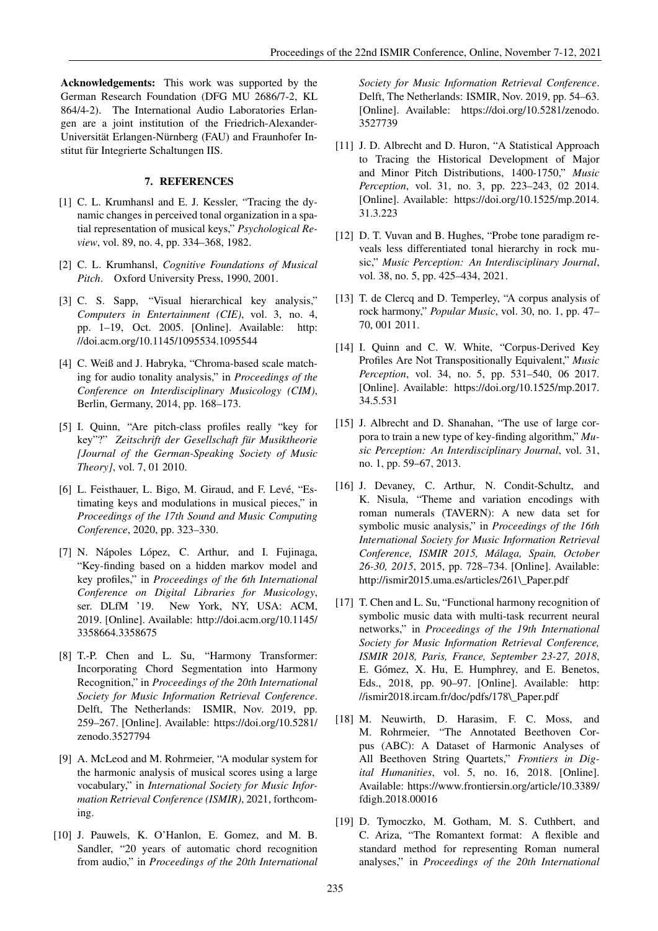Acknowledgements: This work was supported by the German Research Foundation (DFG MU 2686/7-2, KL 864/4-2). The International Audio Laboratories Erlangen are a joint institution of the Friedrich-Alexander-Universität Erlangen-Nürnberg (FAU) and Fraunhofer Institut für Integrierte Schaltungen IIS.

## 7. REFERENCES

- [1] C. L. Krumhansl and E. J. Kessler, "Tracing the dynamic changes in perceived tonal organization in a spatial representation of musical keys," *Psychological Review*, vol. 89, no. 4, pp. 334–368, 1982.
- [2] C. L. Krumhansl, *Cognitive Foundations of Musical Pitch*. Oxford University Press, 1990, 2001.
- [3] C. S. Sapp, "Visual hierarchical key analysis," *Computers in Entertainment (CIE)*, vol. 3, no. 4, pp. 1–19, Oct. 2005. [Online]. Available: http: //doi.acm.org/10.1145/1095534.1095544
- [4] C. Weiß and J. Habryka, "Chroma-based scale matching for audio tonality analysis," in *Proceedings of the Conference on Interdisciplinary Musicology (CIM)*, Berlin, Germany, 2014, pp. 168–173.
- [5] I. Quinn, "Are pitch-class profiles really "key for key"?" *Zeitschrift der Gesellschaft für Musiktheorie [Journal of the German-Speaking Society of Music Theory]*, vol. 7, 01 2010.
- [6] L. Feisthauer, L. Bigo, M. Giraud, and F. Levé, "Estimating keys and modulations in musical pieces," in *Proceedings of the 17th Sound and Music Computing Conference*, 2020, pp. 323–330.
- [7] N. Nápoles López, C. Arthur, and I. Fujinaga, "Key-finding based on a hidden markov model and key profiles," in *Proceedings of the 6th International Conference on Digital Libraries for Musicology*, ser. DLfM '19. New York, NY, USA: ACM, 2019. [Online]. Available: http://doi.acm.org/10.1145/ 3358664.3358675
- [8] T.-P. Chen and L. Su, "Harmony Transformer: Incorporating Chord Segmentation into Harmony Recognition," in *Proceedings of the 20th International Society for Music Information Retrieval Conference*. Delft, The Netherlands: ISMIR, Nov. 2019, pp. 259–267. [Online]. Available: https://doi.org/10.5281/ zenodo.3527794
- [9] A. McLeod and M. Rohrmeier, "A modular system for the harmonic analysis of musical scores using a large vocabulary," in *International Society for Music Information Retrieval Conference (ISMIR)*, 2021, forthcoming.
- [10] J. Pauwels, K. O'Hanlon, E. Gomez, and M. B. Sandler, "20 years of automatic chord recognition from audio," in *Proceedings of the 20th International*

*Society for Music Information Retrieval Conference*. Delft, The Netherlands: ISMIR, Nov. 2019, pp. 54–63. [Online]. Available: https://doi.org/10.5281/zenodo. 3527739

- [11] J. D. Albrecht and D. Huron, "A Statistical Approach to Tracing the Historical Development of Major and Minor Pitch Distributions, 1400-1750," *Music Perception*, vol. 31, no. 3, pp. 223–243, 02 2014. [Online]. Available: https://doi.org/10.1525/mp.2014. 31.3.223
- [12] D. T. Vuvan and B. Hughes, "Probe tone paradigm reveals less differentiated tonal hierarchy in rock music," *Music Perception: An Interdisciplinary Journal*, vol. 38, no. 5, pp. 425–434, 2021.
- [13] T. de Clercq and D. Temperley, "A corpus analysis of rock harmony," *Popular Music*, vol. 30, no. 1, pp. 47– 70, 001 2011.
- [14] I. Quinn and C. W. White, "Corpus-Derived Key Profiles Are Not Transpositionally Equivalent," *Music Perception*, vol. 34, no. 5, pp. 531–540, 06 2017. [Online]. Available: https://doi.org/10.1525/mp.2017. 34.5.531
- [15] J. Albrecht and D. Shanahan, "The use of large corpora to train a new type of key-finding algorithm," *Music Perception: An Interdisciplinary Journal*, vol. 31, no. 1, pp. 59–67, 2013.
- [16] J. Devaney, C. Arthur, N. Condit-Schultz, and K. Nisula, "Theme and variation encodings with roman numerals (TAVERN): A new data set for symbolic music analysis," in *Proceedings of the 16th International Society for Music Information Retrieval Conference, ISMIR 2015, Málaga, Spain, October 26-30, 2015*, 2015, pp. 728–734. [Online]. Available: http://ismir2015.uma.es/articles/261\\_Paper.pdf
- [17] T. Chen and L. Su, "Functional harmony recognition of symbolic music data with multi-task recurrent neural networks," in *Proceedings of the 19th International Society for Music Information Retrieval Conference, ISMIR 2018, Paris, France, September 23-27, 2018*, E. Gómez, X. Hu, E. Humphrey, and E. Benetos, Eds., 2018, pp. 90–97. [Online]. Available: http: //ismir2018.ircam.fr/doc/pdfs/178\\_Paper.pdf
- [18] M. Neuwirth, D. Harasim, F. C. Moss, and M. Rohrmeier, "The Annotated Beethoven Corpus (ABC): A Dataset of Harmonic Analyses of All Beethoven String Quartets," *Frontiers in Digital Humanities*, vol. 5, no. 16, 2018. [Online]. Available: https://www.frontiersin.org/article/10.3389/ fdigh.2018.00016
- [19] D. Tymoczko, M. Gotham, M. S. Cuthbert, and C. Ariza, "The Romantext format: A flexible and standard method for representing Roman numeral analyses," in *Proceedings of the 20th International*